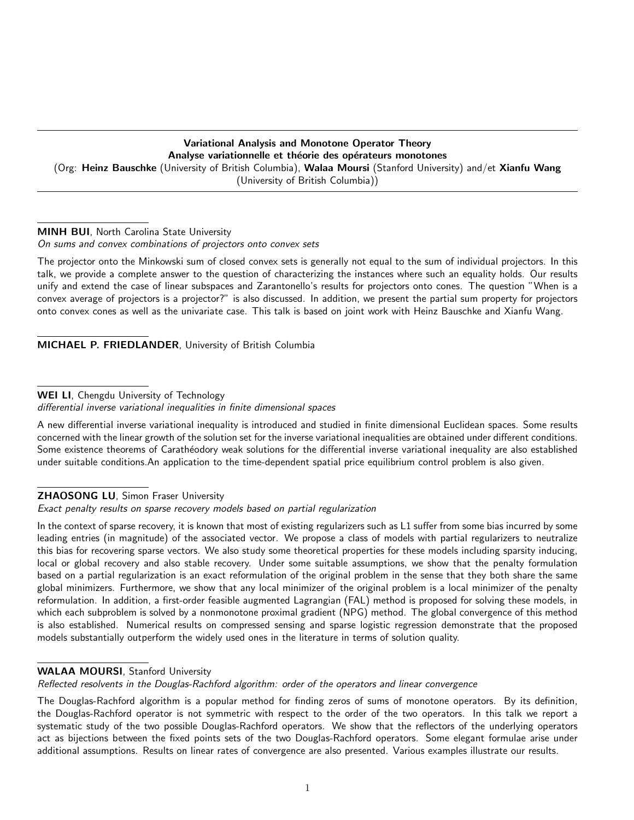# Variational Analysis and Monotone Operator Theory Analyse variationnelle et théorie des opérateurs monotones (Org: Heinz Bauschke (University of British Columbia), Walaa Moursi (Stanford University) and/et Xianfu Wang (University of British Columbia))

### MINH BUI, North Carolina State University

On sums and convex combinations of projectors onto convex sets

The projector onto the Minkowski sum of closed convex sets is generally not equal to the sum of individual projectors. In this talk, we provide a complete answer to the question of characterizing the instances where such an equality holds. Our results unify and extend the case of linear subspaces and Zarantonello's results for projectors onto cones. The question "When is a convex average of projectors is a projector?" is also discussed. In addition, we present the partial sum property for projectors onto convex cones as well as the univariate case. This talk is based on joint work with Heinz Bauschke and Xianfu Wang.

MICHAEL P. FRIEDLANDER, University of British Columbia

### WEI LI, Chengdu University of Technology

A new differential inverse variational inequality is introduced and studied in finite dimensional Euclidean spaces. Some results concerned with the linear growth of the solution set for the inverse variational inequalities are obtained under different conditions. Some existence theorems of Carathéodory weak solutions for the differential inverse variational inequality are also established under suitable conditions.An application to the time-dependent spatial price equilibrium control problem is also given.

#### **ZHAOSONG LU**, Simon Fraser University

Exact penalty results on sparse recovery models based on partial regularization

In the context of sparse recovery, it is known that most of existing regularizers such as L1 suffer from some bias incurred by some leading entries (in magnitude) of the associated vector. We propose a class of models with partial regularizers to neutralize this bias for recovering sparse vectors. We also study some theoretical properties for these models including sparsity inducing, local or global recovery and also stable recovery. Under some suitable assumptions, we show that the penalty formulation based on a partial regularization is an exact reformulation of the original problem in the sense that they both share the same global minimizers. Furthermore, we show that any local minimizer of the original problem is a local minimizer of the penalty reformulation. In addition, a first-order feasible augmented Lagrangian (FAL) method is proposed for solving these models, in which each subproblem is solved by a nonmonotone proximal gradient (NPG) method. The global convergence of this method is also established. Numerical results on compressed sensing and sparse logistic regression demonstrate that the proposed models substantially outperform the widely used ones in the literature in terms of solution quality.

## WALAA MOURSI, Stanford University

Reflected resolvents in the Douglas-Rachford algorithm: order of the operators and linear convergence

The Douglas-Rachford algorithm is a popular method for finding zeros of sums of monotone operators. By its definition, the Douglas-Rachford operator is not symmetric with respect to the order of the two operators. In this talk we report a systematic study of the two possible Douglas-Rachford operators. We show that the reflectors of the underlying operators act as bijections between the fixed points sets of the two Douglas-Rachford operators. Some elegant formulae arise under additional assumptions. Results on linear rates of convergence are also presented. Various examples illustrate our results.

differential inverse variational inequalities in finite dimensional spaces